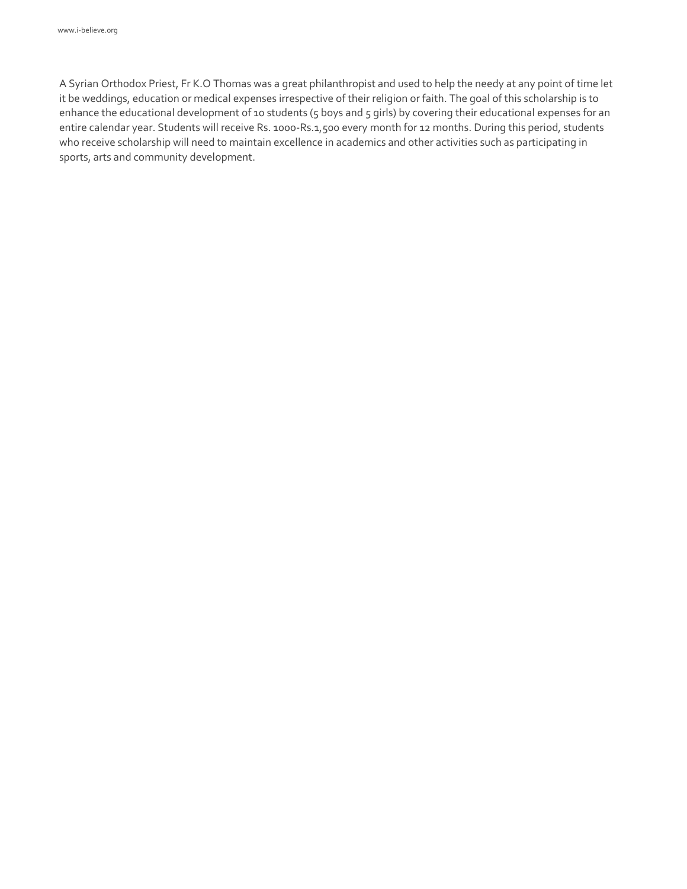A Syrian Orthodox Priest, Fr K.O Thomas was a great philanthropist and used to help the needy at any point of time let it be weddings, education or medical expenses irrespective of their religion or faith. The goal of this scholarship is to enhance the educational development of 10 students (5 boys and 5 girls) by covering their educational expenses for an entire calendar year. Students will receive Rs. 1000-Rs.1,500 every month for 12 months. During this period, students who receive scholarship will need to maintain excellence in academics and other activities such as participating in sports, arts and community development.